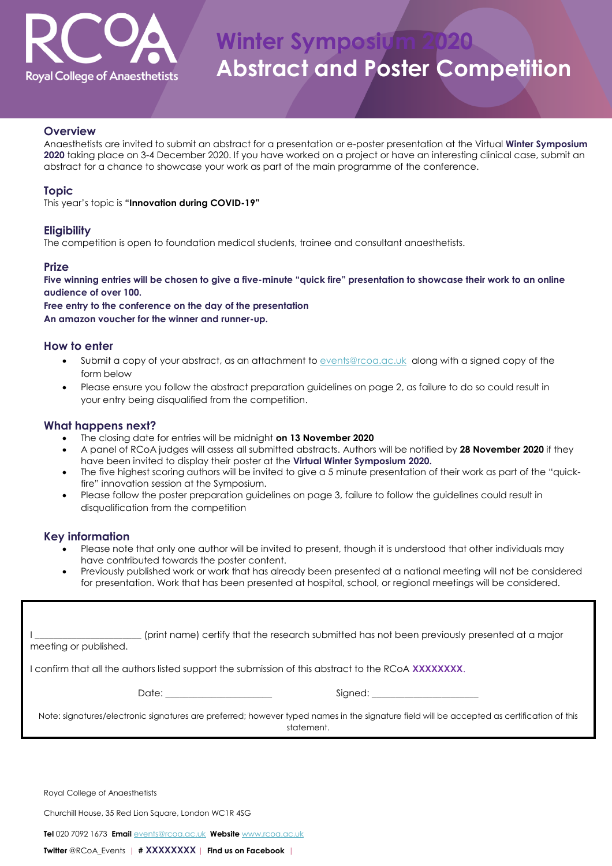

# **Winter Symposiy Abstract and Poster Competition**

#### **Overview**

Anaesthetists are invited to submit an abstract for a presentation or e-poster presentation at the Virtual **Winter Symposium 2020** taking place on 3-4 December 2020. If you have worked on a project or have an interesting clinical case, submit an abstract for a chance to showcase your work as part of the main programme of the conference.

### **Topic**

This year's topic is **"Innovation during COVID-19"**

### **Eligibility**

The competition is open to foundation medical students, trainee and consultant anaesthetists.

### **Prize**

**Five winning entries will be chosen to give a five-minute "quick fire" presentation to showcase their work to an online audience of over 100.**

**Free entry to the conference on the day of the presentation An amazon voucher for the winner and runner-up.**

### **How to enter**

- Submit a copy of your abstract, as an attachment to [events@rcoa.ac.uk](mailto:events@rcoa.ac.uk) along with a signed copy of the form below
- Please ensure you follow the abstract preparation guidelines on page 2, as failure to do so could result in your entry being disqualified from the competition.

### **What happens next?**

- The closing date for entries will be midnight **on 13 November 2020**
- A panel of RCoA judges will assess all submitted abstracts. Authors will be notified by **28 November 2020** if they have been invited to display their poster at the **Virtual Winter Symposium 2020.**
- The five highest scoring authors will be invited to give a 5 minute presentation of their work as part of the "quickfire" innovation session at the Symposium.
- Please follow the poster preparation guidelines on page 3, failure to follow the guidelines could result in disqualification from the competition

### **Key information**

- Please note that only one author will be invited to present, though it is understood that other individuals may have contributed towards the poster content.
- Previously published work or work that has already been presented at a national meeting will not be considered for presentation. Work that has been presented at hospital, school, or regional meetings will be considered.

| (print name) certify that the research submitted has not been previously presented at a major<br>meeting or published.                                                                                                                                                                                                                                                                                                                                           |
|------------------------------------------------------------------------------------------------------------------------------------------------------------------------------------------------------------------------------------------------------------------------------------------------------------------------------------------------------------------------------------------------------------------------------------------------------------------|
| I confirm that all the authors listed support the submission of this abstract to the RCoA <b>XXXXXXXX.</b>                                                                                                                                                                                                                                                                                                                                                       |
| Date: the contract of the contract of the contract of the contract of the contract of the contract of the contract of the contract of the contract of the contract of the contract of the contract of the contract of the cont<br>Signed: the contract of the contract of the contract of the contract of the contract of the contract of the contract of the contract of the contract of the contract of the contract of the contract of the contract of the co |
| Note: signatures/electronic signatures are preferred; however typed names in the signature field will be accepted as certification of this<br>statement.                                                                                                                                                                                                                                                                                                         |
|                                                                                                                                                                                                                                                                                                                                                                                                                                                                  |

Royal College of Anaesthetists

Churchill House, 35 Red Lion Square, London WC1R 4SG

**Tel** 020 7092 1673 **Email** [events@rcoa.ac.uk](mailto:events@rcoa.ac.uk) **Website** [www.rcoa.ac.uk](https://www.rcoa.ac.uk/education-and-events/rcoa-winter-symposium-2017-excellence)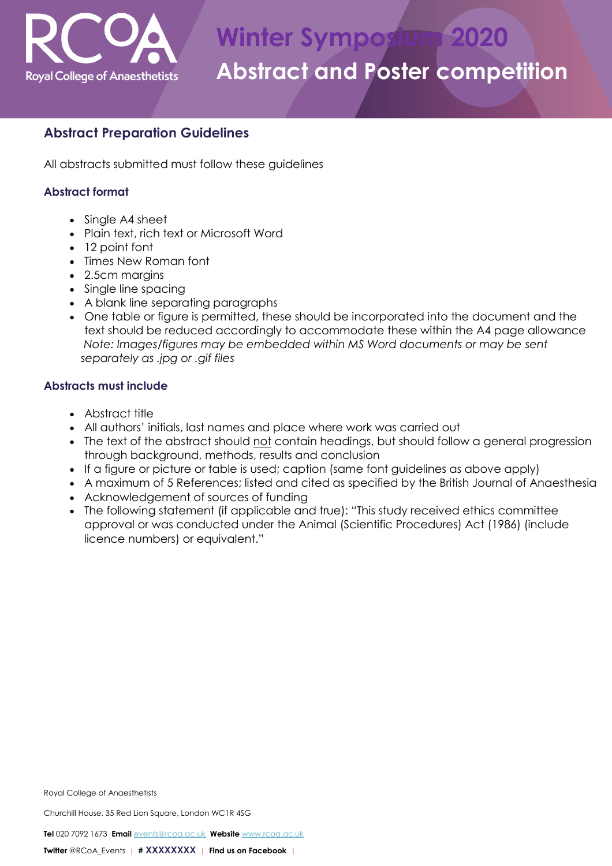

# **Abstract Preparation Guidelines**

All abstracts submitted must follow these guidelines

# **Abstract format**

- Single A4 sheet
- Plain text, rich text or Microsoft Word
- 12 point font
- Times New Roman font
- 2.5cm margins
- Single line spacing
- A blank line separating paragraphs
- One table or figure is permitted, these should be incorporated into the document and the text should be reduced accordingly to accommodate these within the A4 page allowance *Note: Images/figures may be embedded within MS Word documents or may be sent separately as .jpg or .gif files*

# **Abstracts must include**

- Abstract title
- All authors' initials, last names and place where work was carried out
- The text of the abstract should not contain headings, but should follow a general progression through background, methods, results and conclusion
- If a figure or picture or table is used; caption (same font guidelines as above apply)
- A maximum of 5 References; listed and cited as specified by the British Journal of Anaesthesia
- Acknowledgement of sources of funding
- The following statement (if applicable and true): "This study received ethics committee approval or was conducted under the Animal (Scientific Procedures) Act (1986) (include licence numbers) or equivalent."

Churchill House, 35 Red Lion Square, London WC1R 4SG

**Tel** 020 7092 1673 **Email** [events@rcoa.ac.uk](mailto:events@rcoa.ac.uk) **Website** [www.rcoa.ac.uk](https://www.rcoa.ac.uk/education-and-events/rcoa-winter-symposium-2017-excellence)